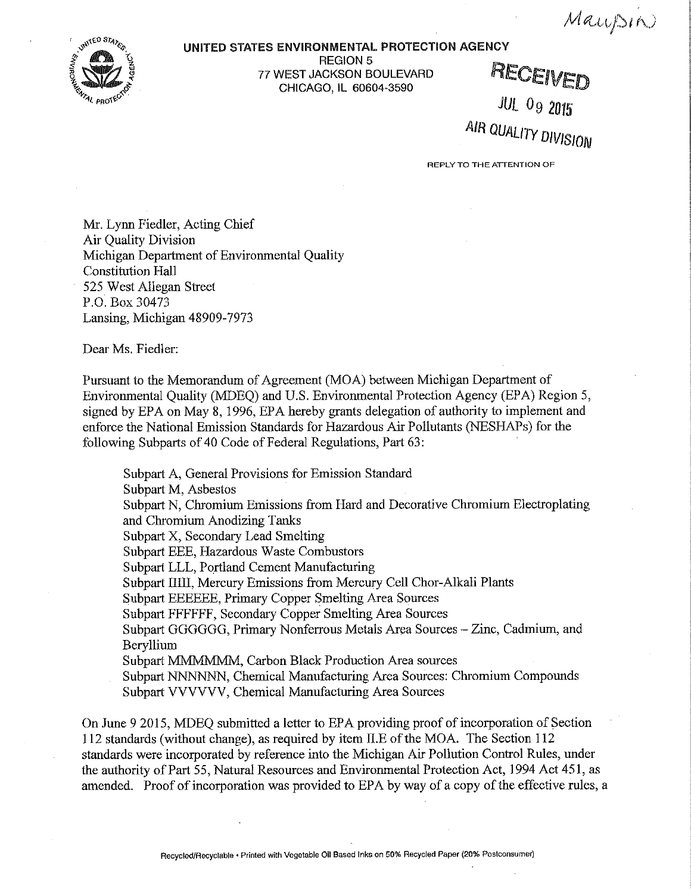Maupin.



## UNITED STATES ENVIRONMENTAL PROTECTION AGENCY

REGION 5<br>77 WEST JACKSON BOULEVARD TESSION SOULEVARD RECEIVED CHICAGO, IL 60604-3590

JUL Og 2015 AIR QUALITY DIVISION

**REPLY TO THE ATTENTION OF** 

Mr. Lynn Fiedler, Acting Chief Air Quality Division Michigan Department of Environmental Quality Constitution Hall 525 West Allegan Street P.O. Box 30473 Lansing, Michigan 48909-7973

Dear Ms. Fiedler:

Pursuant to the Memorandum of Agreement (MOA) between Michigan Department of Environmental Quality (MDEQ) and U.S. Environmental Protection Agency (EPA) Region 5, signed by EPA on May 8, 1996, EPA hereby grants delegation of authority to implement and enforce the National Emission Standards for Hazardous Air Pollutants (NESHAPs) for the following Subparts of 40 Code of Federal Regulations, Part 63:

Subpart A, General Provisions for Emission Standard Subpart M, Asbestos Subpart N, Chromium Emissions from Hard and Decorative Chromium Electroplating and Chromium Anodizing Tanks Subpart X, Secondary Lead Smelting Subpart EEE, Hazardous Waste Combustors Subpart LLL, Portland Cement Manufacturing Subpart IIIII, Mercury Emissions from Mercury Cell Chor-Alkali Plants Subpart EEEEEE, Primary Copper Smelting Area Sources Subpart FFFFFF, Secondary Copper Smelting Area Sources Subpart GGGGGG, Primary Nonferrous Metals Area Sources - Zinc, Cadmium, and Beryllium Subpart MMMMMM, Carbon Black Production Area sources Subpart NNNNNN, Chemical Manufacturing Area Sources: Chromium Compounds Subpart VVVVVV, Chemical Manufacturing Area Sources

On June 9 2015, MDEQ submitted a letter to EPA providing proof of incorporation of Section 112 standards (without change), as required by item ILE of the MOA. The Section 112 standards were incorporated by reference into the Michigan Air Pollution Control Rules, under the authority of Part 55, Natural Resources and Environmental Protection Act, 1994 Act 451, as amended. Proof of incorporation was provided to EPA by way of a copy of the effective rules, a